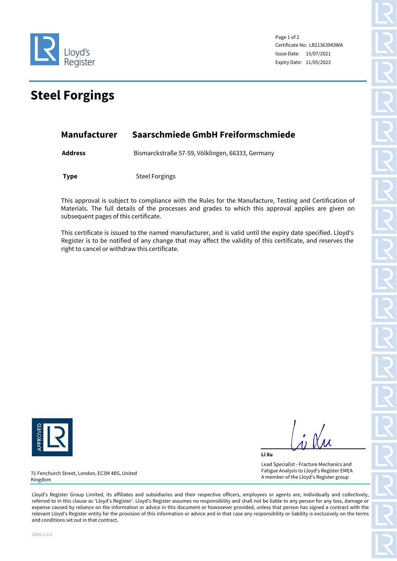

Page 1 of 2 Certificate No: LR21363943WA Issue Date: 15/07/2021 Expiry Date: 11/05/2023

## **Steel Forgings**

## **Manufacturer Saarschmiede GmbH Freiformschmiede**

**Address** Bismarckstraße 57-59, Völklingen, 66333, Germany

**Type** Steel Forgings

This approval is subject to compliance with the Rules for the Manufacture, Testing and Certification of Materials. The full details of the processes and grades to which this approval applies are given on subsequent pages of this certificate.

This certificate is issued to the named manufacturer, and is valid until the expiry date specified. Lloyd's Register is to be notified of any change that may affect the validity of this certificate, and reserves the right to cancel or withdraw this certificate.



**Li Xu** Lead Specialist - Fracture Mechanics and Fatigue Analysis to Lloyd's Register EMEA A member of the Lloyd's Register group

71 Fenchurch Street, London, EC3M 4BS, United Kingdom

Lloyd's Register Group Limited, its affiliates and subsidiaries and their respective officers, employees or agents are, individually and collectively, referred to in this clause as 'Lloyd's Register'. Lloyd's Register assumes no responsibility and shall not be liable to any person for any loss, damage or expense caused by reliance on the information or advice in this document or howsoever provided, unless that person has signed a contract with the relevant Lloyd's Register entity for the provision of this information or advice and in that case any responsibility or liability is exclusively on the terms and conditions set out in that contract.